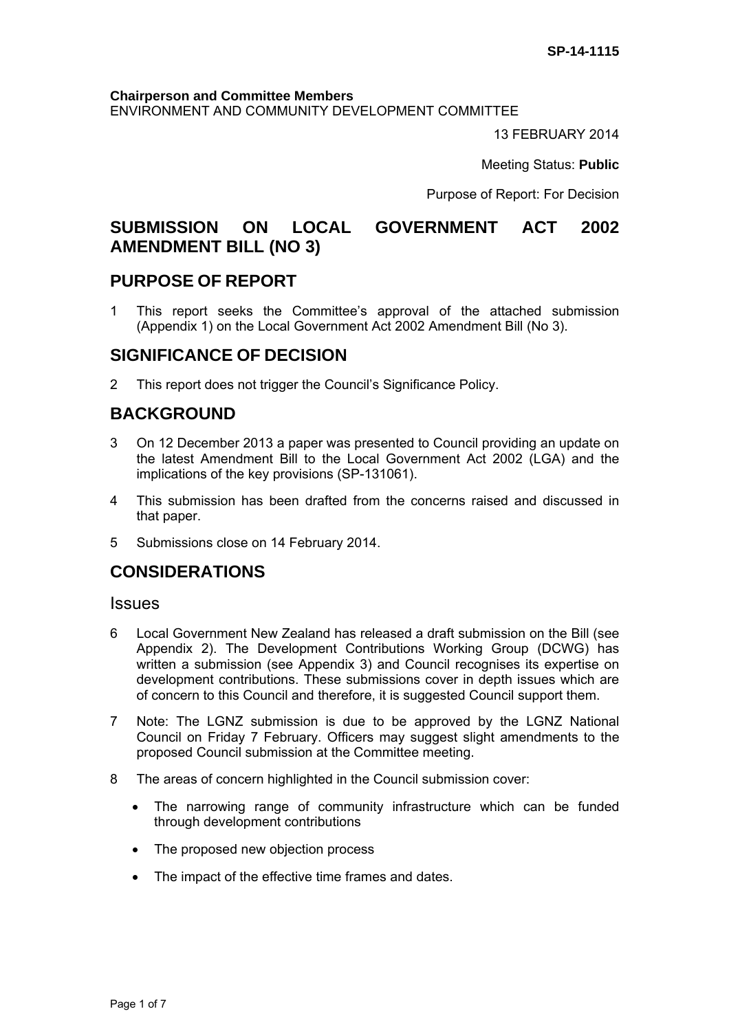#### **Chairperson and Committee Members**

ENVIRONMENT AND COMMUNITY DEVELOPMENT COMMITTEE

13 FEBRUARY 2014

Meeting Status: **Public**

Purpose of Report: For Decision

# **SUBMISSION ON LOCAL GOVERNMENT ACT 2002 AMENDMENT BILL (NO 3)**

## **PURPOSE OF REPORT**

1 This report seeks the Committee's approval of the attached submission (Appendix 1) on the Local Government Act 2002 Amendment Bill (No 3).

## **SIGNIFICANCE OF DECISION**

2 This report does not trigger the Council's Significance Policy.

# **BACKGROUND**

- 3 On 12 December 2013 a paper was presented to Council providing an update on the latest Amendment Bill to the Local Government Act 2002 (LGA) and the implications of the key provisions (SP-131061).
- 4 This submission has been drafted from the concerns raised and discussed in that paper.
- 5 Submissions close on 14 February 2014.

## **CONSIDERATIONS**

#### **Issues**

- 6 Local Government New Zealand has released a draft submission on the Bill (see Appendix 2). The Development Contributions Working Group (DCWG) has written a submission (see Appendix 3) and Council recognises its expertise on development contributions. These submissions cover in depth issues which are of concern to this Council and therefore, it is suggested Council support them.
- 7 Note: The LGNZ submission is due to be approved by the LGNZ National Council on Friday 7 February. Officers may suggest slight amendments to the proposed Council submission at the Committee meeting.
- 8 The areas of concern highlighted in the Council submission cover:
	- The narrowing range of community infrastructure which can be funded through development contributions
	- The proposed new objection process
	- The impact of the effective time frames and dates.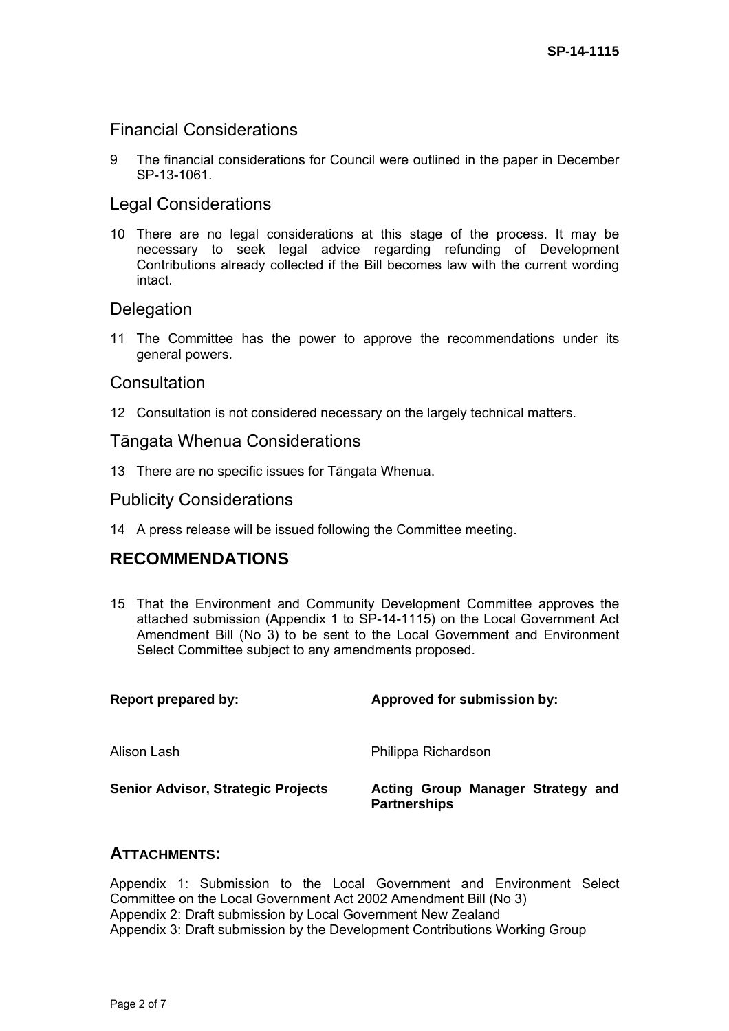## Financial Considerations

9 The financial considerations for Council were outlined in the paper in December SP-13-1061.

## Legal Considerations

10 There are no legal considerations at this stage of the process. It may be necessary to seek legal advice regarding refunding of Development Contributions already collected if the Bill becomes law with the current wording intact.

### **Delegation**

11 The Committee has the power to approve the recommendations under its general powers.

#### **Consultation**

12 Consultation is not considered necessary on the largely technical matters.

#### Tāngata Whenua Considerations

13 There are no specific issues for Tāngata Whenua.

#### Publicity Considerations

14 A press release will be issued following the Committee meeting.

# **RECOMMENDATIONS**

15 That the Environment and Community Development Committee approves the attached submission (Appendix 1 to SP-14-1115) on the Local Government Act Amendment Bill (No 3) to be sent to the Local Government and Environment Select Committee subject to any amendments proposed.

| <b>Report prepared by:</b>                | Approved for submission by:                              |
|-------------------------------------------|----------------------------------------------------------|
| Alison Lash                               | Philippa Richardson                                      |
| <b>Senior Advisor, Strategic Projects</b> | Acting Group Manager Strategy and<br><b>Partnerships</b> |

#### **ATTACHMENTS:**

Appendix 1: Submission to the Local Government and Environment Select Committee on the Local Government Act 2002 Amendment Bill (No 3) Appendix 2: Draft submission by Local Government New Zealand Appendix 3: Draft submission by the Development Contributions Working Group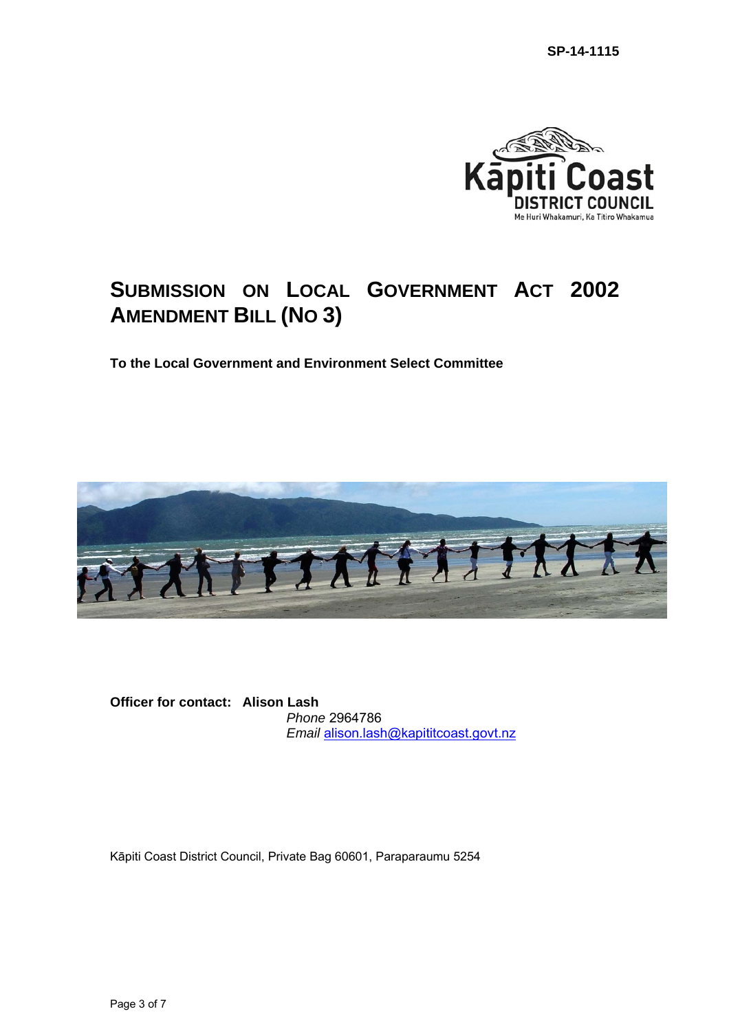

# **SUBMISSION ON LOCAL GOVERNMENT ACT 2002 AMENDMENT BILL (NO 3)**

**To the Local Government and Environment Select Committee** 



**Officer for contact: Alison Lash** *Phone* 2964786 *Email* [alison.lash@kapititcoast.govt.nz](mailto:alison.lash@kapititcoast.govt.nz)

Kāpiti Coast District Council, Private Bag 60601, Paraparaumu 5254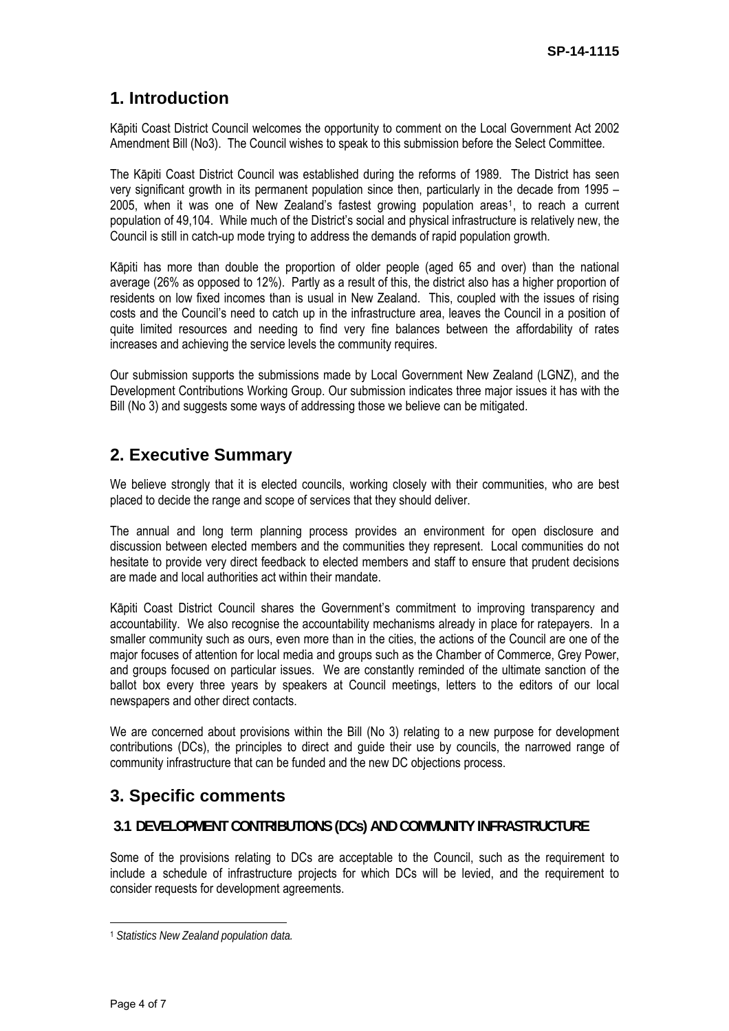# **1. Introduction**

Kāpiti Coast District Council welcomes the opportunity to comment on the Local Government Act 2002 Amendment Bill (No3). The Council wishes to speak to this submission before the Select Committee.

The Kāpiti Coast District Council was established during the reforms of 1989. The District has seen very significant growth in its permanent population since then, particularly in the decade from 1995 – 2005, when it was one of New Zealand's fastest growing population areas[1](#page-3-0), to reach a current population of 49,104. While much of the District's social and physical infrastructure is relatively new, the Council is still in catch-up mode trying to address the demands of rapid population growth.

Kāpiti has more than double the proportion of older people (aged 65 and over) than the national average (26% as opposed to 12%). Partly as a result of this, the district also has a higher proportion of residents on low fixed incomes than is usual in New Zealand. This, coupled with the issues of rising costs and the Council's need to catch up in the infrastructure area, leaves the Council in a position of quite limited resources and needing to find very fine balances between the affordability of rates increases and achieving the service levels the community requires.

Our submission supports the submissions made by Local Government New Zealand (LGNZ), and the Development Contributions Working Group. Our submission indicates three major issues it has with the Bill (No 3) and suggests some ways of addressing those we believe can be mitigated.

# **2. Executive Summary**

We believe strongly that it is elected councils, working closely with their communities, who are best placed to decide the range and scope of services that they should deliver.

The annual and long term planning process provides an environment for open disclosure and discussion between elected members and the communities they represent. Local communities do not hesitate to provide very direct feedback to elected members and staff to ensure that prudent decisions are made and local authorities act within their mandate.

Kāpiti Coast District Council shares the Government's commitment to improving transparency and accountability. We also recognise the accountability mechanisms already in place for ratepayers. In a smaller community such as ours, even more than in the cities, the actions of the Council are one of the major focuses of attention for local media and groups such as the Chamber of Commerce, Grey Power, and groups focused on particular issues. We are constantly reminded of the ultimate sanction of the ballot box every three years by speakers at Council meetings, letters to the editors of our local newspapers and other direct contacts.

We are concerned about provisions within the Bill (No 3) relating to a new purpose for development contributions (DCs), the principles to direct and guide their use by councils, the narrowed range of community infrastructure that can be funded and the new DC objections process.

# **3. Specific comments**

#### **3.1 DEVELOPMENT CONTRIBUTIONS (DCs) AND COMMUNITY INFRASTRUCTURE**

Some of the provisions relating to DCs are acceptable to the Council, such as the requirement to include a schedule of infrastructure projects for which DCs will be levied, and the requirement to consider requests for development agreements.

 $\overline{a}$ 

<span id="page-3-0"></span><sup>1</sup> *Statistics New Zealand population data.*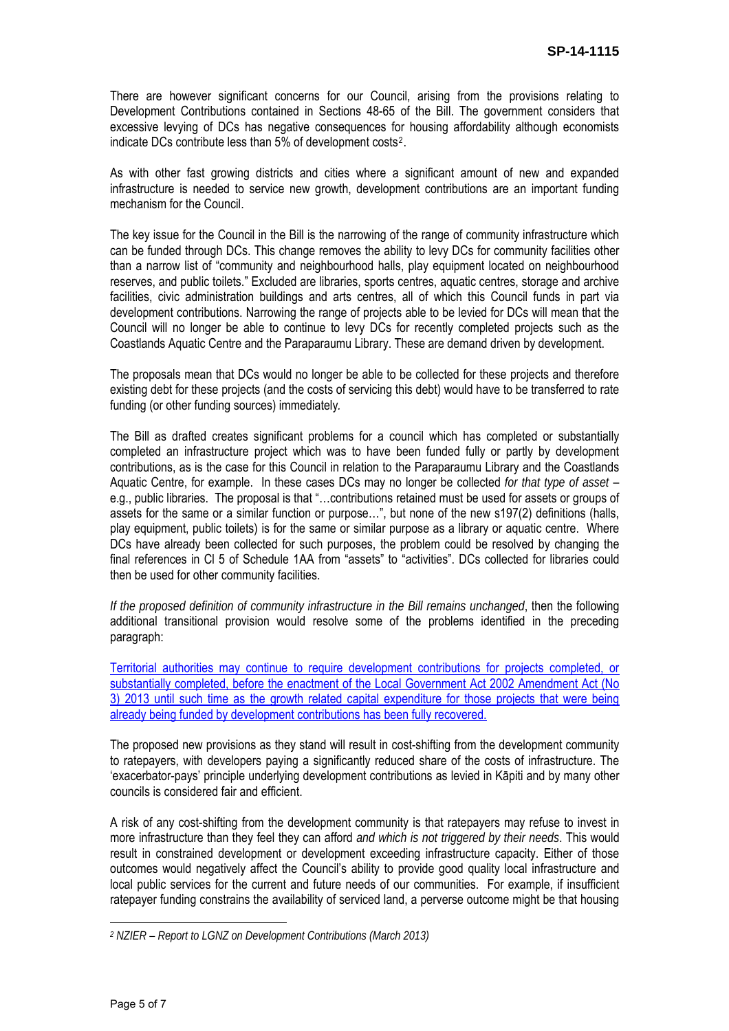There are however significant concerns for our Council, arising from the provisions relating to Development Contributions contained in Sections 48-65 of the Bill. The government considers that excessive levying of DCs has negative consequences for housing affordability although economists indicate DCs contribute less than 5% of development costs[2](#page-4-0).

As with other fast growing districts and cities where a significant amount of new and expanded infrastructure is needed to service new growth, development contributions are an important funding mechanism for the Council.

The key issue for the Council in the Bill is the narrowing of the range of community infrastructure which can be funded through DCs. This change removes the ability to levy DCs for community facilities other than a narrow list of "community and neighbourhood halls, play equipment located on neighbourhood reserves, and public toilets." Excluded are libraries, sports centres, aquatic centres, storage and archive facilities, civic administration buildings and arts centres, all of which this Council funds in part via development contributions. Narrowing the range of projects able to be levied for DCs will mean that the Council will no longer be able to continue to levy DCs for recently completed projects such as the Coastlands Aquatic Centre and the Paraparaumu Library. These are demand driven by development.

The proposals mean that DCs would no longer be able to be collected for these projects and therefore existing debt for these projects (and the costs of servicing this debt) would have to be transferred to rate funding (or other funding sources) immediately*.* 

The Bill as drafted creates significant problems for a council which has completed or substantially completed an infrastructure project which was to have been funded fully or partly by development contributions, as is the case for this Council in relation to the Paraparaumu Library and the Coastlands Aquatic Centre, for example. In these cases DCs may no longer be collected *for that type of asset* – e.g., public libraries. The proposal is that "…contributions retained must be used for assets or groups of assets for the same or a similar function or purpose…", but none of the new s197(2) definitions (halls, play equipment, public toilets) is for the same or similar purpose as a library or aquatic centre. Where DCs have already been collected for such purposes, the problem could be resolved by changing the final references in Cl 5 of Schedule 1AA from "assets" to "activities". DCs collected for libraries could then be used for other community facilities.

*If the proposed definition of community infrastructure in the Bill remains unchanged*, then the following additional transitional provision would resolve some of the problems identified in the preceding paragraph:

Territorial authorities may continue to require development contributions for projects completed, or substantially completed, before the enactment of the Local Government Act 2002 Amendment Act (No 3) 2013 until such time as the growth related capital expenditure for those projects that were being already being funded by development contributions has been fully recovered.

The proposed new provisions as they stand will result in cost-shifting from the development community to ratepayers, with developers paying a significantly reduced share of the costs of infrastructure. The 'exacerbator-pays' principle underlying development contributions as levied in Kāpiti and by many other councils is considered fair and efficient.

A risk of any cost-shifting from the development community is that ratepayers may refuse to invest in more infrastructure than they feel they can afford *and which is not triggered by their needs*. This would result in constrained development or development exceeding infrastructure capacity. Either of those outcomes would negatively affect the Council's ability to provide good quality local infrastructure and local public services for the current and future needs of our communities. For example, if insufficient ratepayer funding constrains the availability of serviced land, a perverse outcome might be that housing

 $\overline{a}$ 

<span id="page-4-0"></span>*<sup>2</sup> NZIER – Report to LGNZ on Development Contributions (March 2013)*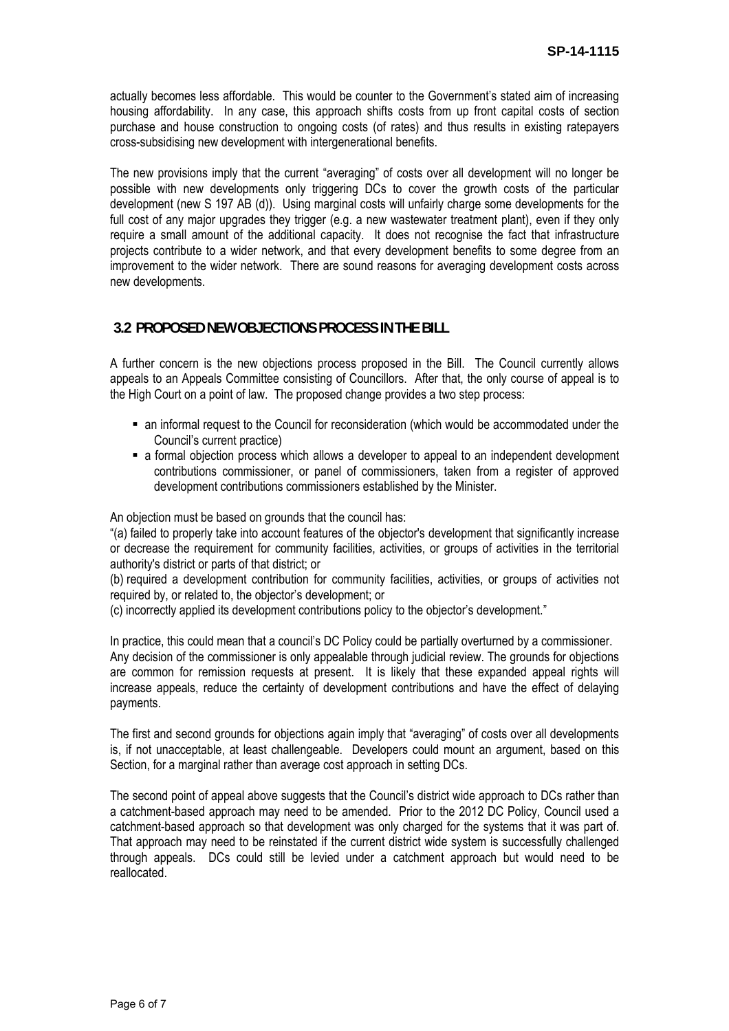actually becomes less affordable. This would be counter to the Government's stated aim of increasing housing affordability. In any case, this approach shifts costs from up front capital costs of section purchase and house construction to ongoing costs (of rates) and thus results in existing ratepayers cross-subsidising new development with intergenerational benefits.

The new provisions imply that the current "averaging" of costs over all development will no longer be possible with new developments only triggering DCs to cover the growth costs of the particular development (new S 197 AB (d)). Using marginal costs will unfairly charge some developments for the full cost of any major upgrades they trigger (e.g. a new wastewater treatment plant), even if they only require a small amount of the additional capacity. It does not recognise the fact that infrastructure projects contribute to a wider network, and that every development benefits to some degree from an improvement to the wider network. There are sound reasons for averaging development costs across new developments.

#### **3.2 PROPOSED NEW OBJECTIONS PROCESS IN THE BILL**

A further concern is the new objections process proposed in the Bill. The Council currently allows appeals to an Appeals Committee consisting of Councillors. After that, the only course of appeal is to the High Court on a point of law. The proposed change provides a two step process:

- an informal request to the Council for reconsideration (which would be accommodated under the Council's current practice)
- a formal objection process which allows a developer to appeal to an independent development contributions commissioner, or panel of commissioners, taken from a register of approved development contributions commissioners established by the Minister.

An objection must be based on grounds that the council has:

"(a) failed to properly take into account features of the objector's development that significantly increase or decrease the requirement for community facilities, activities, or groups of activities in the territorial authority's district or parts of that district; or

(b) required a development contribution for community facilities, activities, or groups of activities not required by, or related to, the objector's development; or

(c) incorrectly applied its development contributions policy to the objector's development."

In practice, this could mean that a council's DC Policy could be partially overturned by a commissioner. Any decision of the commissioner is only appealable through judicial review. The grounds for objections are common for remission requests at present. It is likely that these expanded appeal rights will increase appeals, reduce the certainty of development contributions and have the effect of delaying payments.

The first and second grounds for objections again imply that "averaging" of costs over all developments is, if not unacceptable, at least challengeable. Developers could mount an argument, based on this Section, for a marginal rather than average cost approach in setting DCs.

The second point of appeal above suggests that the Council's district wide approach to DCs rather than a catchment-based approach may need to be amended. Prior to the 2012 DC Policy, Council used a catchment-based approach so that development was only charged for the systems that it was part of. That approach may need to be reinstated if the current district wide system is successfully challenged through appeals. DCs could still be levied under a catchment approach but would need to be reallocated.